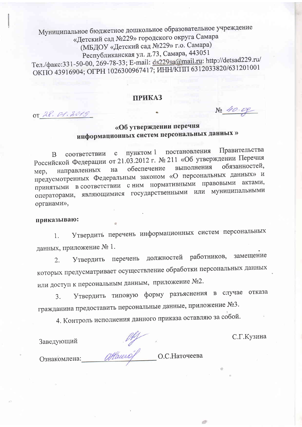Муниципальное бюджетное дошкольное образовательное учреждение «Детский сад №229» городского округа Самара (МБДОУ «Детский сад №229» г.о. Самара) Республиканская ул. д.73, Самара, 443051 Тел./факс:331-50-00, 269-78-33; E-mail: ds229sa@mail.ru: http://detsad229.ru/ ОКПО 43916904; ОГРН 1026300967417; ИНН/КПП 6312033820/631201001

### **ПРИКАЗ**

OT 28. 01.2019

## «Об утверждении перечня информационных систем персональных данных»

Правительства постановления пунктом 1 соответствии  $\mathbf{c}$ <sub>B</sub> Российской Федерации от 21.03.2012 г. № 211 «Об утверждении Перечня обязанностей, выполнения обеспечение направленных на Mep, предусмотренных Федеральным законом «О персональных данных» и принятыми в соответствии с ним нормативными правовыми актами, операторами, являющимися государственными или муниципальными органами»,

#### приказываю:

Утвердить перечень информационных систем персональных 1. данных, приложение № 1.

Утвердить перечень должностей работников, замещение  $2.$ которых предусматривает осуществление обработки персональных данных или доступ к персональным данным, приложение №2.

Утвердить типовую форму разъяснения в случае отказа 3. гражданина предоставить персональные данные, приложение №3.

4. Контроль исполнения данного приказа оставляю за собой.

С.Г.Кузина

No 40.00

Заведующий до с. Наточеева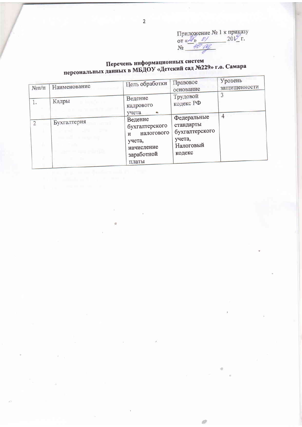ø

# Перечень информационных систем<br>персональных данных в МБДОУ «Детский сад №229» г.о. Самара

| $N$ <sup>o</sup> $\Pi$ / $\Pi$ | Наименование                                                | Цель обработки                                                                                         | Правовое<br>основание                                                       | Уровень<br>защищенности |
|--------------------------------|-------------------------------------------------------------|--------------------------------------------------------------------------------------------------------|-----------------------------------------------------------------------------|-------------------------|
| 1.                             | Кадры                                                       | Ведение<br>кадрового<br>учета                                                                          | Трудовой<br>кодекс РФ                                                       |                         |
| 2                              | Бухгалтерия<br><b>Commercial</b><br>a series and the series | Ведение<br>бухгалтерского<br>налогового<br>$\mathbf{M}$<br>учета,<br>начисление<br>заработной<br>платы | Федеральные<br>стандарты<br>бухгалтерского<br>учета,<br>Налоговый<br>кодекс | 4                       |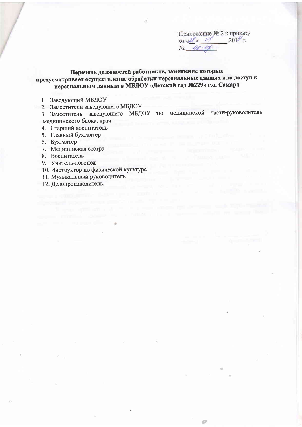Приложение № 2 к приказу or  $\frac{d^2y}{dx^2}$  of  $\frac{2019}{x^2}$ .<br>No  $\frac{dy}{dx}$  or  $\frac{dy}{dx}$ 

e di

### Перечень должностей работников, замещение которых предусматривает осуществление обработки персональных данных или доступ к персональным данным в МБДОУ «Детский сад №229» г.о. Самара

- 1. Заведующий МБДОУ
- 2. Заместители заведующего МБДОУ
- 3. Заместитель заведующего МБДОУ по медицинской части-руководитель мелицинского блока, врач
- 4. Старший воспитатель
- 5. Главный бухгалтер
- 6. Бухгалтер
- 7. Медицинская сестра
- 8. Воспитатель
- 9. Учитель-логопед
- 10. Инструктор по физической культуре

The space open cars, and a security to a more

**PERSONAL PROPERTY** 

- 11. Музыкальный руководитель
- 12. Делопроизводитель.